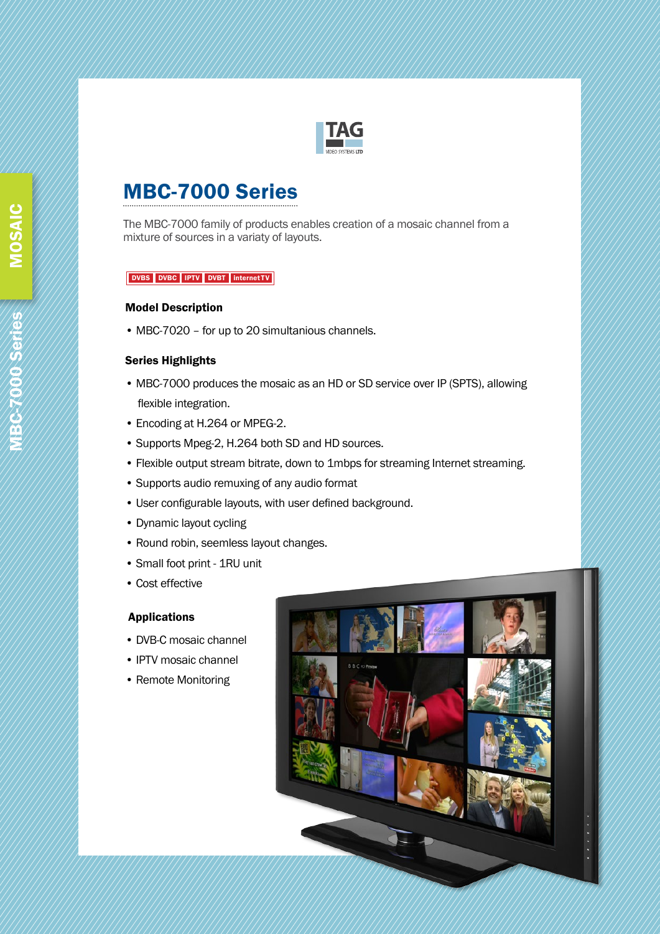

# MBC-7000 Series

The MBC-7000 family of products enables creation of a mosaic channel from a mixture of sources in a variaty of layouts.

#### DVBS DVBC IPTV DVBT internet TV

#### Model Description

• MBC-7020 – for up to 20 simultanious channels.

### Series Highlights

- MBC-7000 produces the mosaic as an HD or SD service over IP (SPTS), allowing flexible integration.
- Encoding at H.264 or MPEG-2.
- Supports Mpeg-2, H.264 both SD and HD sources.
- Flexible output stream bitrate, down to 1mbps for streaming Internet streaming.
- Supports audio remuxing of any audio format
- User configurable layouts, with user defined background.
- Dynamic layout cycling
- Round robin, seemless layout changes.
- Small foot print 1RU unit
- Cost effective

# Applications

- DVB-C mosaic channel
- IPTV mosaic channel
- Remote Monitoring